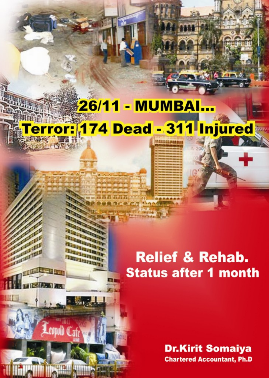# 26/11 - MUMBAI... rror: 174 Dead - 311 Injured

PERSONAL PROPERTY **Riskinin Britanna** 

**Fighting Tan** 

 $0$ <sub>at</sub>

342. V J

## **Relief & Rehab. Status after 1 month**

**Dr.Kirit Somaiya Chartered Accountant, Ph.D**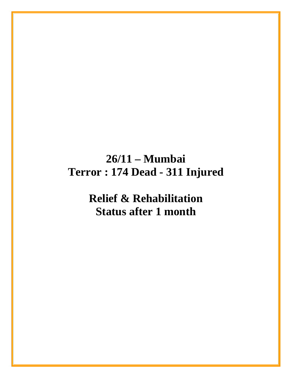## **26/11 – Mumbai Terror : 174 Dead - 311 Injured**

**Relief & Rehabilitation Status after 1 month**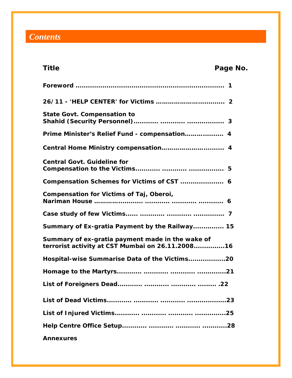## *Contents*

| Title                                                                                                | Page No.         |
|------------------------------------------------------------------------------------------------------|------------------|
|                                                                                                      |                  |
|                                                                                                      |                  |
| <b>State Govt. Compensation to</b>                                                                   |                  |
| Prime Minister's Relief Fund - compensation                                                          | $\boldsymbol{4}$ |
|                                                                                                      |                  |
| <b>Central Govt. Guideline for</b>                                                                   |                  |
|                                                                                                      |                  |
| Compensation for Victims of Taj, Oberoi,                                                             |                  |
|                                                                                                      |                  |
| Summary of Ex-gratia Payment by the Railway 15                                                       |                  |
| Summary of ex-gratia payment made in the wake of<br>terrorist activity at CST Mumbai on 26.11.200816 |                  |
| Hospital-wise Summarise Data of the Victims20                                                        |                  |
|                                                                                                      |                  |
|                                                                                                      |                  |
|                                                                                                      |                  |
|                                                                                                      |                  |
|                                                                                                      |                  |
| <b>Annexures</b>                                                                                     |                  |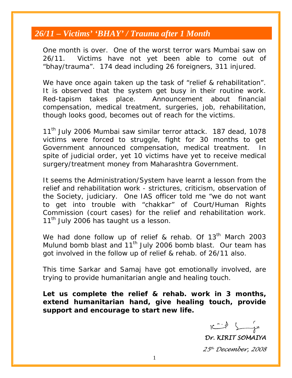## *26/11 – Victims' 'BHAY' / Trauma after 1 Month*

One month is over. One of the worst terror wars Mumbai saw on 26/11. Victims have not yet been able to come out of "bhay/trauma". 174 dead including 26 foreigners, 311 injured.

We have once again taken up the task of "relief & rehabilitation". It is observed that the system get busy in their routine work. Red-tapism takes place. Announcement about financial compensation, medical treatment, surgeries, job, rehabilitation, though looks good, becomes out of reach for the victims.

11<sup>th</sup> July 2006 Mumbai saw similar terror attack. 187 dead, 1078 victims were forced to struggle, fight for 30 months to get Government announced compensation, medical treatment. In spite of judicial order, yet 10 victims have yet to receive medical surgery/treatment money from Maharashtra Government.

It seems the Administration/System have learnt a lesson from the relief and rehabilitation work - strictures, criticism, observation of the Society, judiciary. One IAS officer told me "we do not want to get into trouble with "chakkar" of Court/Human Rights Commission (court cases) for the relief and rehabilitation work. 11<sup>th</sup> July 2006 has taught us a lesson.

We had done follow up of relief & rehab. Of  $13<sup>th</sup>$  March 2003 Mulund bomb blast and  $11<sup>th</sup>$  July 2006 bomb blast. Our team has got involved in the follow up of relief & rehab. of 26/11 also.

This time Sarkar and Samaj have got emotionally involved, are trying to provide humanitarian angle and healing touch.

**Let us complete the relief & rehab. work in 3 months, extend humanitarian hand, give healing touch, provide support and encourage to start new life.** 

*Dr. KIRIT SOMAIYA* 

*25th December, 2008*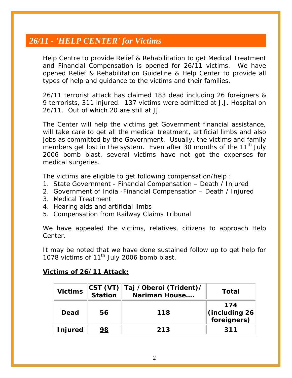## *26/11 - 'HELP CENTER' for Victims*

Help Centre to provide Relief & Rehabilitation to get Medical Treatment and Financial Compensation is opened for 26/11 victims. We have opened Relief & Rehabilitation Guideline & Help Center to provide all types of help and guidance to the victims and their families.

26/11 terrorist attack has claimed 183 dead including 26 foreigners & 9 terrorists, 311 injured. 137 victims were admitted at J.J. Hospital on 26/11. Out of which 20 are still at JJ.

The Center will help the victims get Government financial assistance, will take care to get all the medical treatment, artificial limbs and also jobs as committed by the Government. Usually, the victims and family members get lost in the system. Even after 30 months of the 11<sup>th</sup> July 2006 bomb blast, several victims have not got the expenses for medical surgeries.

The victims are eligible to get following compensation/help :

- 1. State Government Financial Compensation Death / Injured
- 2. Government of India -Financial Compensation Death / Injured
- 3. Medical Treatment
- 4. Hearing aids and artificial limbs
- 5. Compensation from Railway Claims Tribunal

We have appealed the victims, relatives, citizens to approach Help Center.

It may be noted that we have done sustained follow up to get help for 1078 victims of  $11^{th}$  July 2006 bomb blast.

### **Victims of 26/11 Attack:**

| <b>Victims</b> | <b>Station</b> | CST (VT) Taj /Oberoi (Trident)/<br>Nariman House | Total                |
|----------------|----------------|--------------------------------------------------|----------------------|
| Dead           | 56             | 118                                              | 174<br>(including 26 |
| <b>Injured</b> | 98             | 213                                              | 311                  |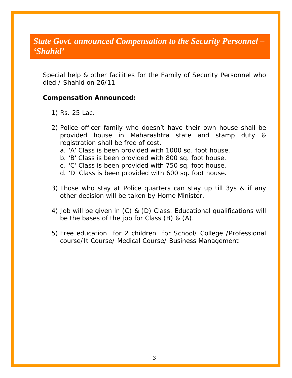## *State Govt. announced Compensation to the Security Personnel – 'Shahid'*

Special help & other facilities for the Family of Security Personnel who died / Shahid on 26/11

### **Compensation Announced:**

- 1) Rs. 25 Lac.
- 2) Police officer family who doesn't have their own house shall be provided house in Maharashtra state and stamp duty & registration shall be free of cost.
	- a. 'A' Class is been provided with 1000 sq. foot house.
	- b. 'B' Class is been provided with 800 sq. foot house.
	- c. 'C' Class is been provided with 750 sq. foot house.
	- d. 'D' Class is been provided with 600 sq. foot house.
- 3) Those who stay at Police quarters can stay up till 3ys & if any other decision will be taken by Home Minister.
- 4) Job will be given in (C) & (D) Class. Educational qualifications will be the bases of the job for Class (B) & (A).
- 5) Free education for 2 children for School/ College /Professional course/It Course/ Medical Course/ Business Management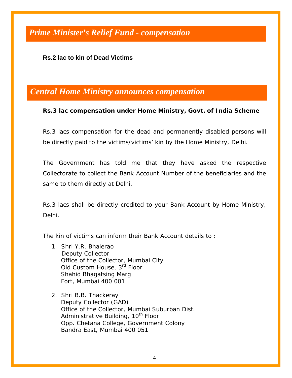## *Prime Minister's Relief Fund - compensation*

### **Rs.2 lac to kin of Dead Victims**

### *Central Home Ministry announces compensation*

#### **Rs.3 lac compensation under Home Ministry, Govt. of India Scheme**

Rs.3 lacs compensation for the dead and permanently disabled persons will be directly paid to the victims/victims' kin by the Home Ministry, Delhi.

The Government has told me that they have asked the respective Collectorate to collect the Bank Account Number of the beneficiaries and the same to them directly at Delhi.

Rs.3 lacs shall be directly credited to your Bank Account by Home Ministry, Delhi.

The kin of victims can inform their Bank Account details to :

- 1. Shri Y.R. Bhalerao Deputy Collector Office of the Collector, Mumbai City Old Custom House, 3rd Floor Shahid Bhagatsing Marg Fort, Mumbai 400 001
- 2. Shri B.B. Thackeray Deputy Collector (GAD) Office of the Collector, Mumbai Suburban Dist. Administrative Building, 10<sup>th</sup> Floor Opp. Chetana College, Government Colony Bandra East, Mumbai 400 051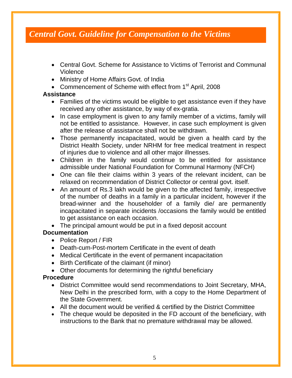## *Central Govt. Guideline for Compensation to the Victims*

- Central Govt. Scheme for Assistance to Victims of Terrorist and Communal Violence
- Ministry of Home Affairs Govt. of India
- Commencement of Scheme with effect from 1<sup>st</sup> April, 2008

### **Assistance**

- Families of the victims would be eligible to get assistance even if they have received any other assistance, by way of ex-gratia.
- In case employment is given to any family member of a victims, family will not be entitled to assistance. However, in case such employment is given after the release of assistance shall not be withdrawn.
- Those permanently incapacitated, would be given a health card by the District Health Society, under NRHM for free medical treatment in respect of injuries due to violence and all other major illnesses.
- Children in the family would continue to be entitled for assistance admissible under National Foundation for Communal Harmony (NFCH)
- One can file their claims within 3 years of the relevant incident, can be relaxed on recommendation of District Collector or central govt. itself.
- An amount of Rs.3 lakh would be given to the affected family, irrespective of the number of deaths in a family in a particular incident, however if the bread-winner and the householder of a family die/ are permanently incapacitated in separate incidents /occasions the family would be entitled to get assistance on each occasion.
- The principal amount would be put in a fixed deposit account

### **Documentation**

- Police Report / FIR
- Death-cum-Post-mortem Certificate in the event of death
- Medical Certificate in the event of permanent incapacitation
- Birth Certificate of the claimant (if minor)
- Other documents for determining the rightful beneficiary

### **Procedure**

- District Committee would send recommendations to Joint Secretary, MHA, New Delhi in the prescribed form, with a copy to the Home Department of the State Government.
- All the document would be verified & certified by the District Committee
- The cheque would be deposited in the FD account of the beneficiary, with instructions to the Bank that no premature withdrawal may be allowed.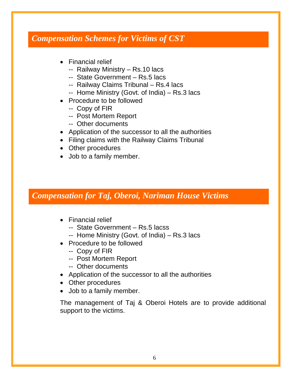## *Compensation Schemes for Victims of CST*

- Financial relief
	- -- Railway Ministry Rs.10 lacs
	- -- State Government Rs.5 lacs
	- -- Railway Claims Tribunal Rs.4 lacs
	- -- Home Ministry (Govt. of India) Rs.3 lacs
- Procedure to be followed
	- -- Copy of FIR
	- -- Post Mortem Report
	- -- Other documents
- Application of the successor to all the authorities
- Filing claims with the Railway Claims Tribunal
- Other procedures
- Job to a family member.

## *Compensation for Taj, Oberoi, Nariman House Victims*

- Financial relief
	- -- State Government Rs.5 lacss
	- -- Home Ministry (Govt. of India) Rs.3 lacs
- Procedure to be followed
	- -- Copy of FIR
	- -- Post Mortem Report
	- -- Other documents
- Application of the successor to all the authorities
- Other procedures
- Job to a family member.

The management of Taj & Oberoi Hotels are to provide additional support to the victims.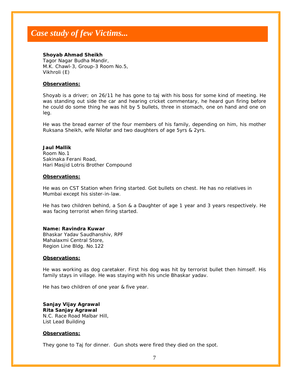#### **Shoyab Ahmad Sheikh**

Tagor Nagar Budha Mandir, M.K. Chawl-3, Group-3 Room No.5, Vikhroli (E)

#### **Observations:**

Shoyab is a driver; on 26/11 he has gone to taj with his boss for some kind of meeting. He was standing out side the car and hearing cricket commentary, he heard gun firing before he could do some thing he was hit by 5 bullets, three in stomach, one on hand and one on leg.

He was the bread earner of the four members of his family, depending on him, his mother Ruksana Sheikh, wife Nilofar and two daughters of age 5yrs & 2yrs.

#### **Jaul Mallik**

Room No.1 Sakinaka Ferani Road, Hari Masjid Lotris Brother Compound

#### **Observations:**

He was on CST Station when firing started. Got bullets on chest. He has no relatives in Mumbai except his sister-in-law.

He has two children behind, a Son & a Daughter of age 1 year and 3 years respectively. He was facing terrorist when firing started.

#### **Name: Ravindra Kuwar**

Bhaskar Yadav Saudhanshiv, RPF Mahalaxmi Central Store, Region Line Bldg. No.122

#### **Observations:**

He was working as dog caretaker. First his dog was hit by terrorist bullet then himself. His family stays in village. He was staying with his uncle Bhaskar yadav.

He has two children of one year & five year.

**Sanjay Vijay Agrawal Rita Sanjay Agrawal**  N.C. Race Road Malbar Hill, List Lead Building

#### **Observations:**

They gone to Taj for dinner. Gun shots were fired they died on the spot.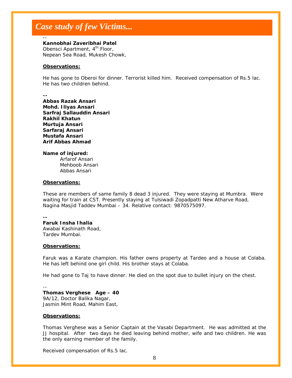**Kannobhai Zaveribhai Patel**  Obensci Apartment, 4<sup>th</sup> Floor, Nepean Sea Road, Mukesh Chowk,

#### **Observations:**

He has gone to Oberoi for dinner. Terrorist killed him. Received compensation of Rs.5 lac. He has two children behind.

**--** 

--

**Abbas Razak Ansari Mohd. Iliyas Ansari Sarfraj Sallauddin Ansari Rakhil Khatun Murtuja Ansari Sarfaraj Ansari Mustafa Ansari Arif Abbas Ahmad** 

**Name of injured:** 

 Arfarof Ansari Mehboob Ansari Abbas Ansari

#### **Observations:**

These are members of same family 8 dead 3 injured. They were staying at Mumbra. Were waiting for train at CST. Presently staying at Tulsiwadi Zopadpatti New Atharve Road, Nagina Masjid Taddev Mumbai – 34. Relative contact: 9870575097.

**--** 

**Faruk Insha Ihalia**  Awabai Kashinath Road, Tardev Mumbai.

#### **Observations:**

Faruk was a Karate champion. His father owns property at Tardeo and a house at Colaba. He has left behind one girl child. His brother stays at Colaba.

He had gone to Taj to have dinner. He died on the spot due to bullet injury on the chest.

-- **Thomas Verghese Age – 40**  9A/12, Doctor Balika Nagar,

Jasmin Mint Road, Mahim East,

#### **Observations:**

Thomas Verghese was a Senior Captain at the Vasabi Department. He was admitted at the JJ hospital. After two days he died leaving behind mother, wife and two children. He was the only earning member of the family.

Received compensation of Rs.5 lac.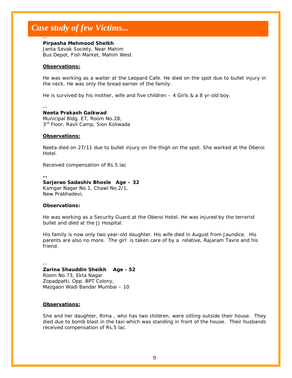#### **Pirpasha Mehmood Sheikh**

Janta Sevak Society, Near Mahim Bus Depot, Fish Market, Mahim West

#### **Observations:**

He was working as a waiter at the Leopard Cafe. He died on the spot due to bullet injury in the neck. He was only the bread earner of the family.

He is survived by his mother, wife and five children  $-4$  Girls & a 8 yr-old boy.

--

--

#### **Neeta Prakash Gaikwad**

Municipal Bldg. E7, Room No.28, 3<sup>rd</sup> Floor, Ravli Camp, Sion Koliwada

#### **Observations:**

Neeta died on 27/11 due to bullet injury on the thigh on the spot. She worked at the Oberoi Hotel.

Received compensation of Rs.5 lac

**-- Sarjerao Sadashiv Bhosle Age – 32**  Kamgar Nagar No.1, Chawl No.2/1, New Prabhadevi,

#### **Observations:**

He was working as a Security Guard at the Oberoi Hotel. He was injured by the terrorist bullet and died at the JJ Hospital.

His family is now only two year-old daughter. His wife died in August from Jaundice. His parents are also no more. The girl is taken care of by a relative, Rajaram Tavre and his friend.

--

#### **Zarina Shauddin Sheikh Age - 52**

Room No.73, Ekta Nagar Zopadpatti, Opp. BPT Colony, Mazgaon Wadi Bandar Mumbai – 10

#### **Observations:**

She and her daughter, Rima , who has two children, were sitting outside their house. They died due to bomb blast in the taxi which was standing in front of the house. Their husbands received compensation of Rs.5 lac.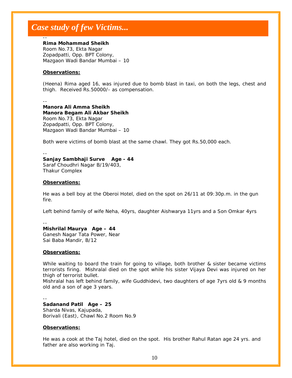#### **Rima Mohammad Sheikh**

Room No.73, Ekta Nagar Zopadpatti, Opp. BPT Colony, Mazgaon Wadi Bandar Mumbai – 10

#### **Observations:**

(Heena) Rima aged 16, was injured due to bomb blast in taxi, on both the legs, chest and thigh. Received Rs.50000/- as compensation.

--

--

**Manora Ali Amma Sheikh Manora Begam Ali Akbar Sheikh**  Room No.73, Ekta Nagar Zopadpatti, Opp. BPT Colony, Mazgaon Wadi Bandar Mumbai – 10

Both were victims of bomb blast at the same chawl. They got Rs.50,000 each.

--

#### **Sanjay Sambhaji Surve Age - 44**

Saraf Choudhri Nagar B/19/403, Thakur Complex

#### **Observations:**

He was a bell boy at the Oberoi Hotel, died on the spot on 26/11 at 09:30p.m. in the gun fire.

Left behind family of wife Neha, 40yrs, daughter Aishwarya 11yrs and a Son Omkar 4yrs

--

--

**Mishrilal Maurya Age – 44**  Ganesh Nagar Tata Power, Near Sai Baba Mandir, B/12

#### **Observations:**

While waiting to board the train for going to village, both brother & sister became victims terrorists firing. Mishralal died on the spot while his sister Vijaya Devi was injured on her thigh of terrorist bullet.

Mishralal has left behind family, wife Guddhidevi, two daughters of age 7yrs old & 9 months old and a son of age 3 years.

**Sadanand Patil Age – 25**  Sharda Nivas, Kajupada, Borivali (East), Chawl No.2 Room No.9

#### **Observations:**

He was a cook at the Taj hotel, died on the spot. His brother Rahul Ratan age 24 yrs. and father are also working in Taj.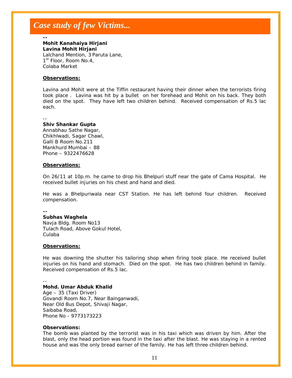**--** 

#### **Mohit Kanahaiya Hirjani Lavina Mohit Hirjani**

Lalchand Mention, 3 Paruta Lane, 1<sup>st</sup> Floor, Room No.4, Colaba Market

#### **Observations:**

Lavina and Mohit were at the Tiffin restaurant having their dinner when the terrorists firing took place . Lavina was hit by a bullet on her forehead and Mohit on his back. They both died on the spot. They have left two children behind. Received compensation of Rs.5 lac each.

--

#### **Shiv Shankar Gupta**

Annabhau Sathe Nagar, Chikhlwadi, Sagar Chawl, Galli B Room No.211 Mankhurd Mumbai – 88 Phone – 9322476628

#### **Observations:**

On 26/11 at 10p.m. he came to drop his Bhelpuri stuff near the gate of Cama Hospital. He received bullet injuries on his chest and hand and died.

He was a Bhelpuriwala near CST Station. He has left behind four children. Received compensation.

**--** 

#### **Subhas Waghela**

Navja Bldg. Room No13 Tulach Road, Above Gokul Hotel, Culaba

#### **Observations:**

He was downing the shutter his tailoring shop when firing took place. He received bullet injuries on his hand and stomach. Died on the spot. He has two children behind in family. Received compensation of Rs.5 lac.

--

#### **Mohd. Umar Abduk Khalid**

Age – 35 (Taxi Driver) Govandi Room No.7, Near Bainganwadi, Near Old Bus Depot, Shivaji Nagar, Saibaba Road, Phone No - 9773173223

#### **Observations:**

The bomb was planted by the terrorist was in his taxi which was driven by him. After the blast, only the head portion was found in the taxi after the blast. He was staying in a rented house and was the only bread earner of the family. He has left three children behind.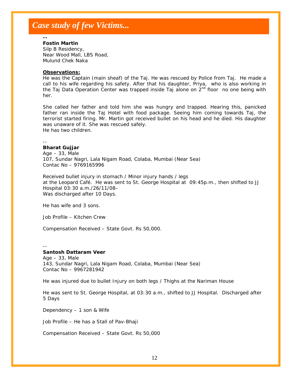**--** 

#### **Fostin Martin**

Silp B Residency, Near Wood Mall, LBS Road, Mulund Chek Naka

#### **Observations:**

He was the Captain (main sheaf) of the Taj. He was rescued by Police from Taj. He made a call to his wife regarding his safety. After that his daughter, Priya, who is also working in the Taj Data Operation Center was trapped inside Taj alone on  $2<sup>nd</sup>$  floor no one being with her.

She called her father and told him she was hungry and trapped. Hearing this, panicked father ran inside the Taj Hotel with food package. Seeing him coming towards Taj, the terrorist started firing. Mr. Martin got received bullet on his head and he died. His daughter was unaware of it. She was rescued safely. He has two children.

#### -- **Bharat Gujjar**

Age – 33, Male 107, Sundar Nagri, Lala Nigam Road, Colaba, Mumbai (Near Sea) Contac No – 9769165996

Received bullet injury in stomach / Minor injury hands / legs at the Leopard Café. He was sent to St. George Hospital at 09:45p.m., then shifted to JJ Hospital 03:30 a.m./26/11/08– Was discharged after 10 Days.

He has wife and 3 sons.

Job Profile – Kitchen Crew

Compensation Received – State Govt. Rs 50,000.

--

#### **Santosh Dattaram Veer**

Age – 33, Male 143, Sundar Nagri, Lala Nigam Road, Colaba, Mumbai (Near Sea) Contac No – 9967281942

He was injured due to bullet Injury on both legs / Thighs at the Nariman House

He was sent to St. George Hospital, at 03:30 a.m., shifted to JJ Hospital. Discharged after 5 Days

Dependency – 1 son & Wife

Job Profile – He has a Stall of Pav-Bhaji

Compensation Received – State Govt. Rs 50,000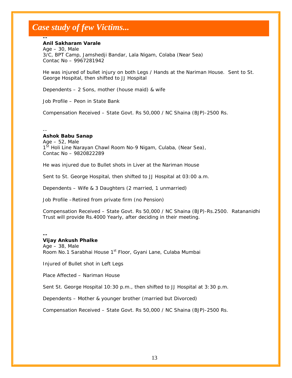#### **Anil Sakharam Varale**

**--** 

 $Aqe - 30$ , Male 3/C, BPT Camp, Jamshedji Bandar, Lala Nigam, Colaba (Near Sea) Contac No – 9967281942

He was injured of bullet injury on both Legs / Hands at the Nariman House. Sent to St. George Hospital, then shifted to JJ Hospital

Dependents – 2 Sons, mother (house maid) & wife

Job Profile – Peon in State Bank

Compensation Received – State Govt. Rs 50,000 / NC Shaina (BJP)-2500 Rs.

-- **Ashok Babu Sanap**  Age – 52, Male 1<sup>St</sup> Holi Line Narayan Chawl Room No-9 Nigam, Culaba, (Near Sea), Contac No – 9820822289

He was injured due to Bullet shots in Liver at the Nariman House

Sent to St. George Hospital, then shifted to JJ Hospital at 03:00 a.m.

Dependents – Wife & 3 Daughters (2 married, 1 unmarried)

Job Profile –Retired from private firm (no Pension)

Compensation Received – State Govt. Rs 50,000 / NC Shaina (BJP)-Rs.2500. Ratananidhi Trust will provide Rs.4000 Yearly, after deciding in their meeting.

**-- Vijay Ankush Phalke**  Age – 38, Male Room No.1 Sarabhai House 1<sup>st</sup> Floor, Gyani Lane, Culaba Mumbai

Injured of Bullet shot in Left Legs

Place Affected – Nariman House

Sent St. George Hospital 10:30 p.m., then shifted to JJ Hospital at 3:30 p.m.

Dependents – Mother & younger brother (married but Divorced)

Compensation Received – State Govt. Rs 50,000 / NC Shaina (BJP)-2500 Rs.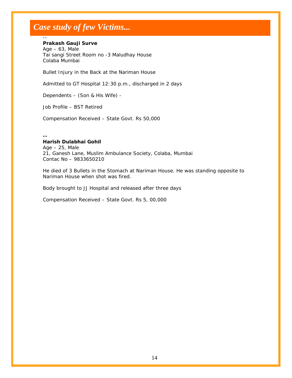#### **Prakash Gauji Surve**

Age – 63, Male Tai sangi Street Room no -3 Maludhay House Colaba Mumbai

Bullet Injury in the Back at the Nariman House

Admitted to GT Hospital 12:30 p.m., discharged in 2 days

Dependents – (Son & His Wife) -

Job Profile – BST Retired

Compensation Received – State Govt. Rs 50,000

**--** 

--

#### **Harish Dulabhai Gohil**

 $Aqe - 25$ , Male 21, Ganesh Lane, Muslim Ambulance Society, Colaba, Mumbai Contac No – 9833650210

He died of 3 Bullets in the Stomach at Nariman House. He was standing opposite to Nariman House when shot was fired.

Body brought to JJ Hospital and released after three days

Compensation Received – State Govt. Rs 5, 00,000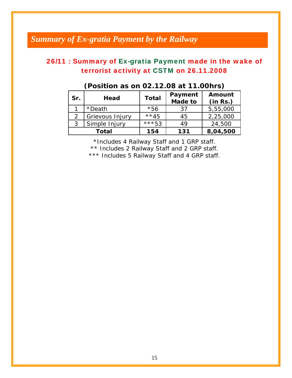## *Summary of Ex-gratia Payment by the Railway*

## 26/11 : Summary of Ex-gratia Payment made in the wake of terrorist activity at CSTM on 26.11.2008

| Sr. | Head            | <b>Total</b> | Payment<br><b>Made to</b> | Amount<br>(in Rs.) |
|-----|-----------------|--------------|---------------------------|--------------------|
|     | *Death          | $*56$        | 37                        | 5,55,000           |
|     | Grievous Injury | $**45$       | 45                        | 2,25,000           |
|     | Simple Injury   | ***53        | 49                        | 24,500             |
|     | Total           | 154          | 131                       | 8,04,500           |

### **(Position as on 02.12.08 at 11.00hrs)**

\*Includes 4 Railway Staff and 1 GRP staff.

\*\* Includes 2 Railway Staff and 2 GRP staff.

\*\*\* Includes 5 Railway Staff and 4 GRP staff.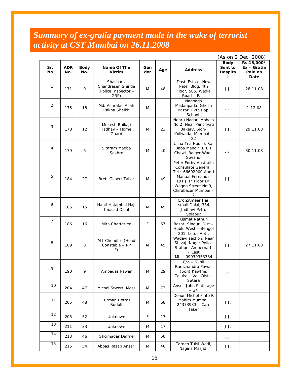## *Summary of ex-gratia payment made in the wake of terrorist activity at CST Mumbai on 26.11.2008*

|                  |                   |                    |                                                              |            |                                                                                                                                                                                          |                                                                                                                      |                                         | (As on 2 Dec. 2008)                          |
|------------------|-------------------|--------------------|--------------------------------------------------------------|------------|------------------------------------------------------------------------------------------------------------------------------------------------------------------------------------------|----------------------------------------------------------------------------------------------------------------------|-----------------------------------------|----------------------------------------------|
| Sr.<br><b>No</b> | <b>ADR</b><br>No. | <b>Body</b><br>No. | Name Of The<br><b>Victim</b>                                 | Gen<br>der | Age                                                                                                                                                                                      | <b>Address</b>                                                                                                       | <b>Body</b><br>Sent to<br>Hospita<br>L. | Rs.15,000/<br>Ex - Gratia<br>Paid on<br>Date |
| 1                | 171               | 9                  | Shashank<br>Chandrasen Shinde<br>(Police Inspector -<br>GRP) | M          | 48                                                                                                                                                                                       | Dosti Estste, New<br>Peter Bldg, 4th<br>Floor, 505, Wadia<br>Road - East                                             | J.J.                                    | 28.11.08                                     |
| 2                | 175               | 18                 | Md. Ashrafali Allah<br>Rakha Sheikh                          | M          |                                                                                                                                                                                          | Nagpada<br>Madanpada, Ghosh<br>Bazar, Ekta Bapi<br>School.                                                           | J.J                                     | 1.12.08                                      |
| 3                | 178               | 12                 | Mukesh Bhikaji<br>Jadhav – Home<br>Guard                     | M          | 23                                                                                                                                                                                       | Nehru Nagar, Mohala<br>No.2, Near Panchvati<br>Bakery, Sion-<br>Koliwada, Mumbai -<br>22                             | J.J.                                    | 29.11.08                                     |
| 4                | 179               | 6                  | Sitaram Madba<br>Sakhre                                      | M          | 40                                                                                                                                                                                       | Usha Tea House, Sai<br>Baba Mandir, B L T<br>Chawl, Baiger Wadi,<br>Govandi                                          | J.J                                     | 30.11.08                                     |
| 5                | 184               | 27                 | <b>Brett Gilbert Tailor</b>                                  | M          | Peter Forby Australin<br>Consulate General,<br>Tel: 66692000 Andri<br><b>Manual Fernandis</b><br>49<br>191 J 1 <sup>st</sup> Floor Dr.<br>Wagon Street No.9,<br>Chirabazar Mumbai -<br>2 |                                                                                                                      | J.J.                                    |                                              |
| 6                | 185               | 15                 | Hapti Hajajbhai Haji<br><b>Imasad Dalal</b>                  | M          | 49                                                                                                                                                                                       | C/c ZAmeer Haji<br>Ismail Dalal, 334,<br>Jodhavi Peth,<br>Solapur                                                    | J.J                                     |                                              |
| 7                | 186               | 16                 | Mira Chatterjee                                              | F          | 67                                                                                                                                                                                       | Kismat Nathun<br>Bazar, Singur, Dist -<br>Hubli, West - Bengol                                                       | J.J                                     |                                              |
| 8                | 189               | 8                  | M I Choudhri (Head<br>Constable - RP<br>F)                   | M          | 45                                                                                                                                                                                       | 201, Lotus Apt.,<br>Wadavi section, Near<br>Shivaji Nagar Police<br>Station, Ambernath<br>- East<br>Mb - 09930353384 | J.J.                                    | 27.11.08                                     |
| 9                | 190               | 9                  | Ambadas Pawar                                                | M          | 29                                                                                                                                                                                       | $C/O - Sun$ il<br>Ramchandra Pawar<br>(Son) Kawthe,<br>Taluka - Vai, Dist -<br>Satara                                | J.J                                     |                                              |
| 10               | 204               | 47                 | <b>Michel Stwert Moss</b>                                    | M          | Ansell John Pinto age<br>73<br>$-24$                                                                                                                                                     |                                                                                                                      | J.J                                     |                                              |
| 11               | 205               | 48                 | Jurman Hetraz<br>Rudolf                                      | M          | 68                                                                                                                                                                                       | Deaon Michel Pinto R<br>Mahim Mumbai<br>24373933 - Care<br>Taker                                                     | J.J.                                    |                                              |
| 12               | 205               | 52                 | Unknown                                                      | F<br>17    |                                                                                                                                                                                          |                                                                                                                      | J.J.                                    |                                              |
| 13               | 211               | 33                 | Unknown                                                      | M          | 17                                                                                                                                                                                       |                                                                                                                      | J.J.                                    |                                              |
| 14               | 213               | 46                 | Shcimadar Daffne                                             | M          | 50                                                                                                                                                                                       |                                                                                                                      | J.J                                     |                                              |
| 15               | 215               | 54                 | Abbas Razab Ansari                                           | M          | 40                                                                                                                                                                                       | Tardeo Tuisi Wadi,<br>Nagina Masjid,                                                                                 | J.J.                                    |                                              |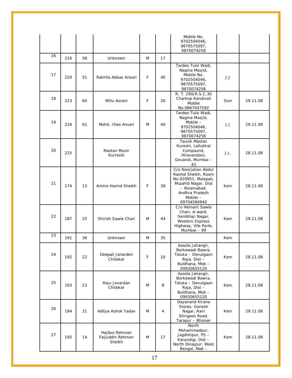|    |     |    |                                              |                                                                                                           |                                                                                                                                                              | Mobile No.<br>9702504046,<br>9870575097,<br>9870074258                                                                 |          |          |
|----|-----|----|----------------------------------------------|-----------------------------------------------------------------------------------------------------------|--------------------------------------------------------------------------------------------------------------------------------------------------------------|------------------------------------------------------------------------------------------------------------------------|----------|----------|
| 16 | 216 | 58 | Unknown                                      | M                                                                                                         | 17                                                                                                                                                           |                                                                                                                        |          |          |
| 17 | 220 | 51 | Rakhila Abbas Ansari                         | F                                                                                                         | Tardeo Tuisi Wadi,<br>Nagina Masjid,<br>Mobile No.<br>40<br>9702504046,<br>9870575097,<br>9870074258                                                         |                                                                                                                        | J.J      |          |
| 18 | 223 | 60 | Millu Asrani                                 | F                                                                                                         | 26                                                                                                                                                           | R. T. 290/R.S.C.30<br>Charkop Kandivali<br>Mobile<br>No.9867047592                                                     | Sion     | 29.11.08 |
| 19 | 224 | 61 | Mohd. Illias Ansari                          | Tardeo Tulsi Wadi,<br>Nagina Masjid,<br>Mobile $-$<br>M<br>40<br>9702504046,<br>9870575097,<br>9870074258 |                                                                                                                                                              | J.J                                                                                                                    | 29.11.08 |          |
| 20 | 225 |    | Mastan Munir<br>Kurreshi                     |                                                                                                           | Tausik Mastan<br>Kureshi, Lallubhai<br>Compound,<br>Hiranandani,<br>Govandi, Mumbai -<br>43                                                                  |                                                                                                                        | J.J.     | 28.11.08 |
| 21 | 174 | 13 | Amina Hamid Sheikh                           | F                                                                                                         | C/o Noorjahan Abdul<br>Rashid Sheikh, Room<br>No.920951, Malapali,<br>Mujahid Nagar, Dist<br>38<br>- Nizamabad,<br>Andhra Pradesh<br>Mobile -<br>09704580940 |                                                                                                                        | Kem      | 28.11.08 |
| 22 | 187 | 25 | Shirish Sawla Chari                          | M                                                                                                         | 44                                                                                                                                                           | C/o Hemant Sawla<br>Chari, A-ward,<br>Sambhaji Nagar,<br><b>Western Express</b><br>Highway, Vile Parle,<br>Mumbai - 99 | Kem      | 29.11.08 |
| 23 | 191 | 36 | Unknown                                      | M                                                                                                         | 35                                                                                                                                                           |                                                                                                                        | Kem      |          |
| 24 | 192 | 22 | Deepali Janarden<br>Chitekar                 | F                                                                                                         | $10$                                                                                                                                                         | Aasola Jahangir,<br>Borkewadi Bawra,<br>Taluka - Devulgaon<br>Raja, Dist-<br>Buldhana, Mob-<br>09930655120             | Kem      | 28.11.08 |
| 25 | 193 | 23 | Raju Janardan<br>Chitekar                    | M                                                                                                         | 8                                                                                                                                                            | Aasola Jahangir,<br>Borkewadi Bawra,<br>Taluka - Devulgaon<br>Raja, Dist-<br>Buldhana, Mob-<br>09930655120             | Kem      | 28.11.08 |
| 26 | 194 | 21 | Aditya Ashok Yadav                           | M                                                                                                         | 4                                                                                                                                                            | Dayanand Kirana<br>Stores, Ganesh<br>Nagar, Rani<br>Shirgaon Road,<br>Tarapur - Bhoiser                                | Kem      | 29.11.08 |
| 27 | 195 | 14 | Hajibul Rehman<br>Faijuddin Rehman<br>Sheikh | M                                                                                                         | 17                                                                                                                                                           | North<br>Mohammadpur,<br>Jagdishpur, PS -<br>Karandigi, Dist-<br>North Dinajpur, West<br>Bengal, Mob-                  | Kem      | 28.11.08 |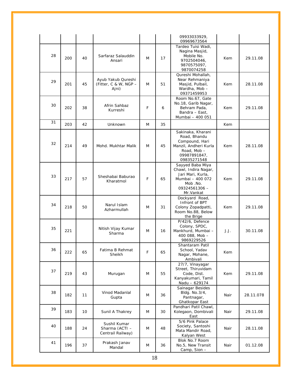|    |     |    |                                                      |   |                                                                                                    | 09933033929,<br>09969673564                                                                                                |            |           |
|----|-----|----|------------------------------------------------------|---|----------------------------------------------------------------------------------------------------|----------------------------------------------------------------------------------------------------------------------------|------------|-----------|
| 28 | 200 | 40 | Sarfaraz Salauddin<br>Ansari                         | M | 17                                                                                                 | Tardeo Tuisi Wadi,<br>Nagina Masjid,<br>Mobile No.<br>9702504046,<br>9870575097,<br>9870074258                             | Kem        | 29.11.08  |
| 29 | 201 | 45 | Ayub Yakub Qureshi<br>(Fitter, C & W, NGP -<br>Ajni) | M | Qureshi Mohallah,<br>Near Rehmaniya<br>51<br>Masjid, Pulbail,<br>Wardha, Mob -<br>09371459953      |                                                                                                                            | Kem        | 28.11.08  |
| 30 | 202 | 38 | Afrin Sahbaz<br>Kurreshi                             | F | Room No.67, Gate<br>No.18, Garib Nagar,<br>6<br>Behram Pada,<br>Bandra - East,<br>Mumbai - 400 051 |                                                                                                                            | Kem        | 29.11.08  |
| 31 | 203 | 42 | Unknown                                              | M | 35                                                                                                 |                                                                                                                            | <b>Kem</b> |           |
| 32 | 214 | 49 | Mohd. Mukhtar Malik                                  | M | 45                                                                                                 | Sakinaka, Kharani<br>Road, Bhandu<br>Compound, Hari<br>Manzil, Andheri Kurla<br>Road, Mob-<br>09987891847,<br>09835271548  | Kem        | 28.11.08  |
| 33 | 217 | 57 | Sheshabai Baburao<br>Kharatmol                       | F | 65                                                                                                 | Sayyed Baba Miya<br>Chawl, Indira Nagar,<br>Jari Mari, Kurla,<br>Mumbai - 400 072<br>Mob.No.<br>09324561306 -<br>Mr.Vankat | Kem        | 29.11.08  |
| 34 | 218 | 50 | Narul Islam<br>Azharmullah                           | M | 31                                                                                                 | Dockyard Road,<br>Infront of BPT<br>Colony Zopadpatti,<br>Room No.88, Below<br>the Brige                                   | Kem        | 29.11.08  |
| 35 | 221 |    | Nitish Vijay Kumar<br>Sharma                         | M | 16                                                                                                 | P/42/6, Defence<br>Colony, SPDC,<br>Mankhurd, Mumbai -<br>400 088, Mob -<br>9869229526                                     | J.J.       | 30.11.08  |
| 36 | 222 | 65 | Fatima B Rehmat<br>Sheikh                            | F | 65                                                                                                 | Shantaram Patil<br>School, Yadav<br>Nagar, Mohane,<br>Ambivali                                                             | Kem        |           |
| 37 | 219 | 43 | Murugan                                              | M | 55                                                                                                 | 27/7, Vinayagar<br>Street, Thiruvidam<br>Code, Dist.<br>Kanyakumari, Tamil<br>Nadu - 629174                                |            | 29.11.08  |
| 38 | 182 | 11 | Vinod Madanlal<br>Gupta                              | M | 36                                                                                                 | Sainagar Besides<br>Bldg. No.3/4,<br>Pantnagar,<br><b>Ghatkopar East</b>                                                   | Nair       | 28.11.078 |
| 39 | 183 | 10 | Sunil A Thakrey                                      | M | Pandhari Patil Chawl,<br>Kolegaon, Dombivali<br>30<br>East                                         |                                                                                                                            | Nair       | 29.11.08  |
| 40 | 188 | 24 | Sushil Kumar<br>Sharma (ACTI -<br>Centrail Railway)  | M | 48                                                                                                 | 5/6 Pink Palace<br>Society, Santoshi<br>Mata Mandir Road,<br>Kalyan West                                                   | Nair       | 28.11.08  |
| 41 | 196 | 37 | Prakash Janav<br>Mandal                              | M | 36                                                                                                 | Blok No.7 Room<br>No.5, New Transit<br>Camp, Sion -                                                                        | Nair       | 01.12.08  |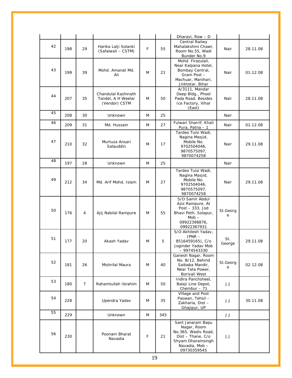|    |     |                |                                                            |    |                                                                              | Dharavi, Row - D                                                                                                                  |               |          |
|----|-----|----------------|------------------------------------------------------------|----|------------------------------------------------------------------------------|-----------------------------------------------------------------------------------------------------------------------------------|---------------|----------|
| 42 | 198 | 29             | Harika Lalji Solanki<br>(Safaiwali - CSTM)                 | F  | 55                                                                           | Central Railwy<br>Mahalakshmi Chawl,<br>Room No.55, Wadi<br>Bunder No.9                                                           | Nair          | 28.11.08 |
| 43 | 199 | 39             | Mohd. Amanat Md.<br>Ali                                    | M  | 21                                                                           | Mohd. Firazulali,<br>Near Kalpana Hotel,<br>Bombay Central,<br>Gram Post -<br>Machuar, Manihari,<br>Jinktotar, Bihar              | Nair          | 01.12.08 |
| 44 | 207 | 35             | Chandulal Kashinath<br>Tandel, A H Weelar<br>(Vendor) CSTM | M  | 50                                                                           | A/3111, Mandar<br>Deep Bldg., Phool<br>Pada Road, Besides<br>Ice Factory, Vihar<br>(East)                                         | Nair          | 28.11.08 |
| 45 | 208 | 30             | <b>Unknown</b>                                             | M  | 25                                                                           |                                                                                                                                   | Nair          |          |
| 46 | 209 | 31             | Md. Hussain                                                | M  | 27                                                                           | Fulwari Sharrif, Khali<br>Pura, Patna - 1                                                                                         | Nair          | 01.12.08 |
| 47 | 210 | 32             | Murtuza Ansari<br>Salauddin                                | M  | 17                                                                           | Tardeo Tuisi Wadi,<br>Nagina Masjid,<br>Mobile No.<br>9702504046,<br>9870575097,<br>9870074258                                    | Nair          | 29.11.08 |
| 48 | 197 | 28             | <b>Unknown</b>                                             | M  | 25                                                                           |                                                                                                                                   | Nair          |          |
| 49 | 212 | 34             | Md. Arif Mohd. Islam                                       | M  | 27                                                                           | Tardeo Tuisi Wadi,<br>Nagina Masjid,<br>Mobile No.<br>9702504046,<br>9870575097,<br>9870074258                                    | Nair          | 29.11.08 |
| 50 | 176 | 4              | Ajij Nabilal Rampure                                       | M  | 55                                                                           | S/O Samir Abdul<br>Aziz Rampure, At<br>Post $-333$ , Jod<br>Bhavi Peth, Solapur,<br>$Mob -$<br>09922398876,<br>09922367931        | St.Georg<br>e |          |
| 51 | 177 | 20             | Akash Yadav                                                | M  | 5                                                                            | S/O Akhilesh Yadav,<br>$(PNR -$<br>8516459165), C/o<br>Joginder Yadav Mob<br>$-9974543330$                                        | St.<br>George | 29.11.08 |
| 52 | 181 | 26             | Mishrilal Maura                                            | M  | 40                                                                           | Ganesh Nagar, Room<br>No. B/12, Behind<br>Saibaba Mandir,<br>Near Tata Power,<br>Borivali West                                    | St.Georg<br>е | 02.12.08 |
| 53 | 180 | $\overline{7}$ | Rahamtullah Ibrahim                                        | M  | 50                                                                           | Indira Panchsheel,<br>Balaji Line Depot,<br>Chembur $-71$                                                                         | J.J           |          |
| 54 | 228 |                | Upendra Yadav                                              | M  | Village and Post<br>Paswan, Tehsil-<br>35<br>Zakharia, Dist-<br>Ghajipur, UP |                                                                                                                                   | J.J           | 30.11.08 |
| 55 | 229 |                | Unknown                                                    | M  | 345                                                                          |                                                                                                                                   | J.J           |          |
| 56 | 230 |                | Poonam Bharat<br>Navadia                                   | F  | 21                                                                           | Sant Janaram Bapu<br>Nagar, Room<br>No.365, Wadiv Road,<br>Dist - Thane, C/o<br>Shyam Dharamsingh<br>Navadia, Mob-<br>09730359545 | J.J           |          |
|    |     |                |                                                            | 19 |                                                                              |                                                                                                                                   |               |          |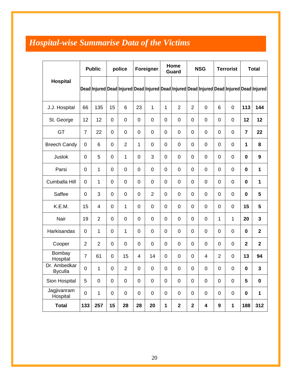## *Hospital-wise Summarise Data of the Victims*

|                                |                | <b>Public</b>  |                | police         |    | Foreigner      |           | Home<br><b>Guard</b> |                  | <b>NSG</b>  |                  | <b>Terrorist</b> |                | <b>Total</b>                                                                               |
|--------------------------------|----------------|----------------|----------------|----------------|----|----------------|-----------|----------------------|------------------|-------------|------------------|------------------|----------------|--------------------------------------------------------------------------------------------|
| <b>Hospital</b>                |                |                |                |                |    |                |           |                      |                  |             |                  |                  |                | Dead Injured Dead Injured Dead Injured Dead Injured Dead Injured Dead Injured Dead Injured |
| J.J. Hospital                  | 66             | 135            | 15             | 6              | 23 | $\mathbf 1$    | 1         | $\overline{2}$       | $\overline{2}$   | $\mathbf 0$ | 6                | $\mathbf 0$      | 113            | 144                                                                                        |
| St. George                     | 12             | 12             | $\overline{0}$ | $\mathbf 0$    | 0  | 0              | 0         | $\mathbf 0$          | 0                | 0           | $\mathbf 0$      | $\overline{0}$   | 12             | 12                                                                                         |
| GT                             | $\overline{7}$ | 22             | $\overline{0}$ | $\mathbf 0$    | 0  | 0              | 0         | $\overline{0}$       | $\mathbf 0$      | 0           | $\overline{0}$   | $\overline{0}$   | $\overline{7}$ | 22                                                                                         |
| <b>Breech Candy</b>            | 0              | 6              | $\overline{0}$ | $\overline{2}$ | 1  | $\mathbf 0$    | 0         | $\mathbf 0$          | $\mathbf 0$      | 0           | $\overline{0}$   | $\mathbf 0$      | 1              | 8                                                                                          |
| Juslok                         | 0              | 5              | $\mathbf 0$    | 1              | 0  | 3              | 0         | $\mathbf 0$          | 0                | 0           | 0                | $\mathbf 0$      | $\mathbf 0$    | $\boldsymbol{9}$                                                                           |
| Parsi                          | 0              | 1              | $\overline{0}$ | $\mathbf 0$    | 0  | $\mathbf 0$    | 0         | $\mathbf 0$          | $\mathbf 0$      | 0           | $\mathbf 0$      | $\mathbf 0$      | $\mathbf 0$    | 1                                                                                          |
| Cumballa Hill                  | 0              | 1              | $\mathbf 0$    | $\mathbf 0$    | 0  | $\mathbf 0$    | 0         | $\mathbf 0$          | $\mathbf 0$      | 0           | $\mathbf 0$      | $\mathbf 0$      | $\mathbf 0$    | $\mathbf{1}$                                                                               |
| Saffee                         | 0              | 3              | $\overline{0}$ | $\mathbf 0$    | 0  | $\overline{2}$ | 0         | $\mathbf 0$          | 0                | 0           | 0                | $\overline{0}$   | $\mathbf 0$    | 5                                                                                          |
| K.E.M.                         | 15             | $\overline{4}$ | $\overline{0}$ | 1              | 0  | $\overline{0}$ | 0         | $\overline{0}$       | $\overline{0}$   | 0           | $\overline{0}$   | $\overline{0}$   | 15             | 5                                                                                          |
| Nair                           | 19             | $\overline{2}$ | $\overline{0}$ | $\mathbf 0$    | 0  | 0              | 0         | $\mathbf 0$          | $\mathbf 0$      | 0           | $\mathbf{1}$     | 1                | 20             | 3                                                                                          |
| Harkisandas                    | 0              | 1              | $\mathbf 0$    | 1              | 0  | 0              | 0         | $\mathbf 0$          | 0                | 0           | 0                | $\mathbf 0$      | $\mathbf 0$    | $\overline{\mathbf{2}}$                                                                    |
| Cooper                         | $\overline{2}$ | $\overline{2}$ | $\overline{0}$ | $\mathbf 0$    | 0  | 0              | 0         | $\mathbf 0$          | $\mathbf 0$      | 0           | $\mathbf 0$      | $\mathbf 0$      | $\mathbf 2$    | $\overline{\mathbf{2}}$                                                                    |
| Bombay<br>Hospital             | $\overline{7}$ | 61             | $\overline{0}$ | 15             | 4  | 14             | 0         | $\mathbf 0$          | 0                | 4           | $\overline{2}$   | 0                | 13             | 94                                                                                         |
| Dr. Ambedkar<br><b>Byculla</b> | 0              | 1              | $\mathbf 0$    | $\overline{2}$ | 0  | 0              | 0         | $\mathbf 0$          | 0                | 0           | 0                | $\mathbf 0$      | $\bf{0}$       | 3                                                                                          |
| Sion Hospital                  | 5              | $\mathbf 0$    | $\mathbf 0$    | $\mathbf 0$    | 0  | $\mathbf 0$    | $\pmb{0}$ | $\pmb{0}$            | $\mathsf 0$      | $\mathsf 0$ | $\boldsymbol{0}$ | $\mathsf 0$      | $5\phantom{a}$ | $\bf{0}$                                                                                   |
| Jagjivanram<br>Hospital        | $\overline{0}$ | $\mathbf{1}$   | $\mathbf 0$    | $\mathbf 0$    | 0  | $\mathbf 0$    | $\pmb{0}$ | $\pmb{0}$            | $\boldsymbol{0}$ | $\mathbf 0$ | $\boldsymbol{0}$ | $\boldsymbol{0}$ | $\pmb{0}$      | $\mathbf 1$                                                                                |
| <b>Total</b>                   | 133            | 257            | 15             | 28             | 28 | 20             | 1         | $\mathbf{2}$         | $\mathbf{2}$     | 4           | $\boldsymbol{9}$ | $\mathbf 1$      | 188            | 312                                                                                        |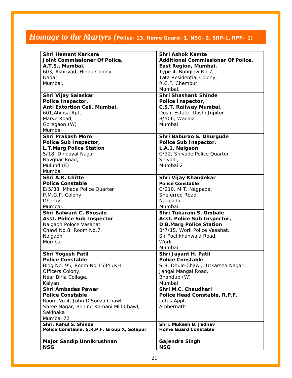## *Homage to the Martyrs* (Police- 13, Home Guard- 1, NSG- 2, SRP-1, RPF- 1)

| <b>Shri Hemant Karkare</b>                  | <b>Shri Ashok Kamte</b>                   |  |  |  |  |
|---------------------------------------------|-------------------------------------------|--|--|--|--|
| Joint Commissioner Of Police,               | <b>Additional Commissioner Of Police,</b> |  |  |  |  |
| A.T.S., Mumbai.                             | East Region, Mumbai.                      |  |  |  |  |
| 603, Ashirvad, Hindu Colony,                | Type 4, Bunglow No.7,                     |  |  |  |  |
| Dadar,                                      | Tata Residential Colony,                  |  |  |  |  |
| Mumbai.                                     | R.C.F. Chembur                            |  |  |  |  |
|                                             | Mumbai.                                   |  |  |  |  |
| Shri Vijay Salaskar                         | <b>Shri Shashank Shinde</b>               |  |  |  |  |
| Police Inspector,                           | Police Inspector,                         |  |  |  |  |
| Anti Extortion Cell, Mumbai.                | C.S.T. Railway Mumbai.                    |  |  |  |  |
| 601, Ahinsa Apt,                            | Doshi Estate, Doshi Jupiter               |  |  |  |  |
| Marve Road,                                 | B/506, Wadala,                            |  |  |  |  |
| Goregaon (W)                                | Mumbai                                    |  |  |  |  |
| Mumbai                                      |                                           |  |  |  |  |
| <b>Shri Prakash More</b>                    | Shri Baburao S. Dhurgude                  |  |  |  |  |
| Police Sub Inspector,                       | Police Sub Inspector,                     |  |  |  |  |
| <b>L.T.Marg Police Station</b>              | L.A.1, Naigaon                            |  |  |  |  |
| 5/18, Dindayal Nagar,                       | C/32, Shivade Police Quarter              |  |  |  |  |
| Navghar Road,                               | Shivadi,                                  |  |  |  |  |
| Mulund (E)                                  | Mumbai 2                                  |  |  |  |  |
| Mumbai                                      |                                           |  |  |  |  |
| <b>Shri A.R. Chitte</b>                     | Shri Vijay Khandekar                      |  |  |  |  |
| <b>Police Constable</b>                     | <b>Police Constable</b>                   |  |  |  |  |
| E/5/88, Mhada Police Quarter                | C/210, M.T. Nagpada,                      |  |  |  |  |
| P.M.G.P. Colony,                            | Sheferred Road,                           |  |  |  |  |
| Dharavi,                                    | Nagpada,                                  |  |  |  |  |
| Mumbai.                                     | Mumbai                                    |  |  |  |  |
| <b>Shri Balwant C. Bhosale</b>              | Shri Tukaram S. Ombale                    |  |  |  |  |
| <b>Asst. Police Sub Inspector</b>           | Asst. Police Sub Inspector,               |  |  |  |  |
| Naigaon Poloce Vasahat,                     | <b>D.B.Marg Police Station</b>            |  |  |  |  |
| Chawl No.8, Room No.7,                      | B/7/15, Worli Police Vasahat,             |  |  |  |  |
| Naigaon                                     | Sir Pochkhanwala Road,                    |  |  |  |  |
| Mumbai                                      | Worli                                     |  |  |  |  |
|                                             | Mumbai                                    |  |  |  |  |
| <b>Shri Yogesh Patil</b>                    | Shri Jayant H. Patil                      |  |  |  |  |
| <b>Police Constable</b>                     | <b>Police Constable</b>                   |  |  |  |  |
| Bldg No. 95, Room No. 1534 /KH              | S.B. Dhule Chawl,. Utkarsha Nagar,        |  |  |  |  |
| Officers Colony,                            | Jangal Mangal Road,                       |  |  |  |  |
| Near Birla Collage,                         | Bhandup (W)                               |  |  |  |  |
| Kalyan                                      | Mumbai                                    |  |  |  |  |
| <b>Shri Ambadas Pawar</b>                   | Shri M.C. Chaudhari                       |  |  |  |  |
| <b>Police Constable</b>                     | Police Head Constable, R.P.F.             |  |  |  |  |
| Room No.4, John D'Souza Chawl,              | Lotus Appt.                               |  |  |  |  |
| Shree Nagar, Behind Kamani Mill Chawl,      | Ambernath                                 |  |  |  |  |
| Sakinaka                                    |                                           |  |  |  |  |
| Mumbai 72                                   |                                           |  |  |  |  |
| Shri. Rahul S. Shinde                       | Shri. Mukesh B. Jadhav                    |  |  |  |  |
| Police Constable, S.R.P.F. Group X, Solapur | <b>Home Guard Constable</b>               |  |  |  |  |
| Major Sandip Unnikrushnan                   | Gajendra Singh                            |  |  |  |  |
| <b>NSG</b>                                  | <b>NSG</b>                                |  |  |  |  |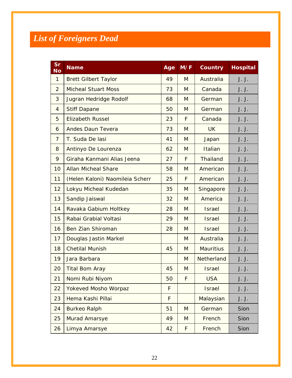## *List of Foreigners Dead*

| Sr<br>No       | <b>Name</b>                     | Age | M/F | <b>Country</b>   | <b>Hospital</b> |
|----------------|---------------------------------|-----|-----|------------------|-----------------|
| $\mathbf{1}$   | <b>Brett Gilbert Taylor</b>     | 49  | M   | Australia        | J. J.           |
| 2              | <b>Micheal Stuart Moss</b>      | 73  | M   | Canada           | J. J.           |
| 3              | Jugran Hedridge Rodolf          | 68  | M   | German           | J. J.           |
| 4              | <b>Stiff Dapane</b>             | 50  | M   | German           | J. J.           |
| 5              | <b>Elizabeth Russel</b>         | 23  | F   | Canada           | J. J.           |
| 6              | <b>Andes Daun Tevera</b>        | 73  | M   | <b>UK</b>        | J. J.           |
| $\overline{7}$ | T. Suda De lasi                 | 41  | M   | Japan            | J. J.           |
| 8              | Antinyo De Lourenza             | 62  | M   | Italian          | J. J.           |
| 9              | Giraha Kanmani Alias Jeena      | 27  | F   | Thailand         | J. J.           |
| 10             | <b>Allan Micheal Share</b>      | 58  | M   | American         | J. J.           |
| 11             | (Helen Kaloni) Naomileia Scherr | 25  | F   | American         | J. J.           |
| 12             | Lokyu Micheal Kudedan           | 35  | M   | Singapore        | J. J.           |
| 13             | Sandip Jaiswal                  | 32  | M   | America          | J. J.           |
| 14             | Ravaka Gabium Holtkey           | 28  | M   | <b>Israel</b>    | J. J.           |
| 15             | Rabai Grabial Voltasi           | 29  | M   | <b>Israel</b>    | J. J.           |
| 16             | <b>Ben Zian Shiroman</b>        | 28  | M   | <b>Israel</b>    | J. J.           |
| 17             | Douglas Jastin Markel           |     | M   | Australia        | J. J.           |
| 18             | <b>Chetilal Munish</b>          | 45  | M   | <b>Mauritius</b> | J. J.           |
| 19             | Jara Barbara                    |     | M   | Netherland       | J. J.           |
| 20             | <b>Tital Bom Aray</b>           | 45  | M   | <b>Israel</b>    | J. J.           |
| 21             | Nomi Rubi Niyom                 | 50  | F   | <b>USA</b>       | J. J.           |
| 22             | <b>Yokeved Mosho Worpaz</b>     | F   |     | <b>Israel</b>    | J. J.           |
| 23             | Hema Kashi Pillai               | F   |     | Malaysian        | J. J.           |
| 24             | <b>Burkeo Ralph</b>             | 51  | M   | German           | Sion            |
| 25             | Murad Amarsye                   | 49  | M   | French           | Sion            |
| 26             | Limya Amarsye                   | 42  | F   | French           | Sion            |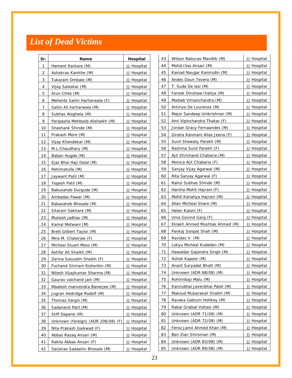## *List of Dead Victims*

| Sr.             | Name                               | Hospital    | 43 | Wilson Baburao Mandlik (M)     | JJ Hospital |
|-----------------|------------------------------------|-------------|----|--------------------------------|-------------|
| $\mathbf{1}$    | Hemant Karkare (M)                 | JJ Hospital | 44 | Mohd.Ilias Ansari (M)          | JJ Hospital |
| 2               | Ashokrao Kamthe (M)                | JJ Hospital | 45 | Kainad Naugar Kamrudin (M)     | JJ Hospital |
| 3               | Tukaram Ombale (M)                 | JJ Hospital | 46 | Andes Daun Tevera (M)          | JJ Hospital |
| 4               | Vijay Salaskar (M)                 | JJ Hospital | 47 | T. Suda De lasi (M)            | JJ Hospital |
| 5               | Arun Chite (M)                     | JJ Hospital | 48 | Farook Dinshaw Ihaliya (M)     | JJ Hospital |
| 6               | Mehenbi Salim Harharwala (F)       | JJ Hospital | 49 | Maibeb Vimanchandra (M)        | JJ Hospital |
| 7               | Salim Ali harharwala (M)           | JJ Hospital | 50 | Antinyo De Lourenza (M)        | JJ Hospital |
| 8               | Subhas Waghela (M)                 | JJ Hospital | 51 | Major Sandeep Unikrishnan (M)  | JJ Hospital |
| 9               | Paripasha Mehboob Alishaikh (M)    | JJ Hospital | 52 | Ami Vipinchandra Thakar (F)    | JJ Hospital |
| 10              | Shashank Shinde (M)                | JJ Hospital | 53 | Jordan Gracy Fernaandes (M)    | JJ Hospital |
| 11              | Prakash More (M)                   | JJ Hospital | 54 | Giraha Kanmani Alias Jeena (F) | JJ Hospital |
| 12              | Vijay Khandekar (M)                | JJ Hospital | 55 | Sunil Shewaty Parekh (M)       | JJ Hospital |
| 13              | M.L.Chaudhary (M)                  | JJ Hospital | 56 | Reshma Sunil Parekh (F)        | JJ Hospital |
| 14              | Baban Hugde (M)                    | JJ Hospital | 57 | Ajit Shrichand Chabaria (M)    | JJ Hospital |
| 15              | Ejaz Bhai Haji Dalal (M)           | JJ Hospital | 58 | Monica Ajit Chabaria (F)       | JJ Hospital |
| 16              | Rehimatulla (M)                    | JJ Hospital | 59 | Sanjay Vijay Agarwal (M)       | JJ Hospital |
| 17              | Jaywant Patil (M)                  | JJ Hospital | 60 | Rita Sanjay Agarwal (F)        | JJ Hospital |
| 18              | Yogesh Patil (M)                   | JJ Hospital | 61 | Rahul Subhas Shinde (M)        | JJ Hospital |
| 19              | Babusaheb Durgude (M)              | JJ Hospital | 62 | Harsha Mohit Hajrani (F)       | JJ Hospital |
| 20              | Ambadas Pawar (M)                  | JJ Hospital | 63 | Mohit Kanahya Hajrani (M)      | JJ Hospital |
| 21              | Babasaheb Bhosale (M)              | JJ Hospital | 64 | Allan Micheal Share (M)        | JJ Hospital |
| 22              | Sitaram Sakhare (M)                | JJ Hospital | 65 | Helen Kaloni (F)               | JJ Hospital |
| 23              | Mukesh jadhav (M)                  | JJ Hospital | 66 | Uma Govind Garg (F)            | JJ Hospital |
| 24              | Kamal Motwani (M)                  | JJ Hospital | 67 | Eklakh Ahmed Mushtak Ahmed (M) | JJ Hospital |
| 25              | Brett Gilbert Taylor (M)           | JJ Hospital | 68 | Pankaj Sonpat Shah (M)         | JJ Hospital |
| 26              | Mira M. Chaterjee (F)              | JJ Hospital | 69 | Ravidas V. (M)                 | JJ Hospital |
| 27              | Micheal Stuart Moss (M)            | JJ Hospital | 70 | Lokyu Micheal Kudedan (M)      | JJ Hospital |
| 28              | Ashfar Ali Shaikh (M)              | JJ Hospital | 71 | Hawaldar Gajendra Singh (M)    | JJ Hospital |
| 29              | Zarina Sasusdin Shaikh (F)         | JJ Hospital | 72 | Ashok Kapoor (M)               | JJ Hospital |
| 30 <sub>2</sub> | Fuchand Shriram Kishorbin (M)      | JJ Hospital | 73 | Anant Suryadat Bhatt (M)       | JJ Hospital |
| 31              | Nitesh Vijaykumar Sharma (M)       | JJ Hospital | 74 | Unknown (ADR 68/08) (M)        | JJ Hospital |
| 32              | Gaurav valchand jain (M)           | JJ Hospital | 75 | Rohinnbaji Malu (M)            | JJ Hospital |
| 33              | Maalesh manvendra Banerjee (M)     | JJ Hospital | 76 | Kannubhai Javeribhai Patel (M) | JJ Hospital |
| 34              | Jugran Hedridge Rodolf (M)         | JJ Hospital | 77 | Maksud Mubarakali Shaikh (M)   | JJ Hospital |
| 35              | Thomas Vargis (M)                  | JJ Hospital | 78 | Ravaka Gabium Holtkey (M)      | JJ Hospital |
| 36              | Sadanand Patil (M)                 | JJ Hospital | 79 | Rabai Grabial Voltasi (M)      | JJ Hospital |
| 37              | Stiff Dapane (M)                   | JJ Hospital | 80 | Unknown (ADR 71/08) (M)        | JJ Hospital |
| 38              | Unknown (foreign) (ADR 206/08) (F) | JJ Hospital | 81 | Unknown (ADR 72/08) (M)        | JJ Hospital |
| 39              | Nita Prakash Gaikwad (F)           | JJ Hospital | 82 | Feroz Jamil Ahmed Khan (M)     | JJ Hospital |
| 40              | Abbas Razaq Ansari (M)             | JJ Hospital | 83 | Ben Zian Shiroman (M)          | JJ Hospital |
| 41              | Rakila Abbas Ansari (F)            | JJ Hospital | 84 | Unknown (ADR 83/08) (M)        | JJ Hospital |
| 42              | Sarjerao Sadashiv Bhosale (M)      | JJ Hospital | 85 | Unknown (ADR 89/08) (M)        | JJ Hospital |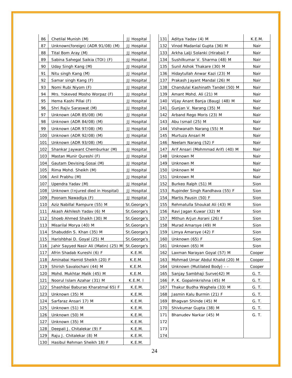| 86  | Chetilal Munish (M)                   | JJ Hospital |
|-----|---------------------------------------|-------------|
| 87  | Unknown(foreign) (ADR 91/08) (M)      | JJ Hospital |
| 88  | Tital Bom Aray (M)                    | JJ Hospital |
| 89  | Sabina Sahegal Saikia (TOI) (F)       | JJ Hospital |
| 90  | Uday Singh Kang (M)                   | JJ Hospital |
| 91  | Nitu singh Kang (M)                   | JJ Hospital |
| 92  | Samar singh Kang (F)                  | JJ Hospital |
| 93  | Nomi Rubi Niyom (F)                   | JJ Hospital |
| 94  | Mrs. Yokeved Mosho Worpaz (F)         | JJ Hospital |
| 95  | Hema Kashi Pillai (F)                 | JJ Hospital |
| 96  | Shri Rajiv Saraswat (M)               | JJ Hospital |
| 97  | Unknown (ADR 85/08) (M)               | JJ Hospital |
| 98  | Unknown (ADR 84/08) (M)               | JJ Hospital |
| 99  | Unknown (ADR 97/08) (M)               | JJ Hospital |
| 100 | Unknown (ADR 92/08) (M)               | JJ Hospital |
| 101 | Unknown (ADR 93/08) (M)               | JJ Hospital |
| 102 | Shankar Jaywant Chemburkar (M)        | JJ Hospital |
| 103 | Mastan Munir Qureshi (F)              | JJ Hospital |
| 104 | Gautam Devising Gosai (M)             | JJ Hospital |
| 105 | Rima Mohd. Sheikh (M)                 | JJ Hospital |
| 106 | Anil Prabhu (M)                       | JJ Hospital |
| 107 | Upendra Yadav (M)                     | JJ Hospital |
| 108 | Unknown (Injured died in Hospital)    | JJ Hospital |
| 109 | Poonam Nawadiya (F)                   | JJ Hospital |
| 110 | Aziz Nabillal Rampure (55) M          | St.George's |
| 111 | Akash Akhilesh Yadav (6) M            | St.George's |
| 112 | Shoeb Ahmed Shaikh (30) M             | St.George's |
| 113 | Misarilal Morya (40) M                | St.George's |
| 114 | Shabuddin S. Khan (35) M              | St.George's |
| 115 | Harishbhai D. Goyal (25) M            | St.George's |
| 116 | Jahir Sayyed Nasir Ali (Matin) (25) M | St.George's |
| 117 | Afrin Shadab Kureshi (6) F            | K.E.M.      |
| 118 | Aminabai Hamid Sheikh (20) F          | K.E.M.      |
| 119 | Shirish Savalochani (44) M            | K.E.M.      |
| 120 | Mohd. Mukhtar Malik (45) M            | K.E.M.      |
| 121 | Noorul Islam Azahar (31) M            | K.E.M. I    |
| 122 | Shashibai Baburao Kharatmal 65) F     | K.E.M.      |
| 123 | Unknown (35) M                        | K.E.M.      |
| 124 | Sarfaraz Ansari 17) M                 | K.E.M.      |
| 125 | Unknown (51) M                        | K.E.M.      |
| 126 | Unknown (50) M                        | K.E.M.      |
| 127 | Unknown (35) M                        | K.E.M.      |
| 128 | Deepali J. Chitalekar (9) F           | K.E.M.      |
| 129 | Raju J. Chitalekar (8) M              | K.E.M.      |
|     |                                       |             |

| 131         | Aditya Yadav (4) M                        | K.E.M.       |  |  |
|-------------|-------------------------------------------|--------------|--|--|
| 132         | Vinod Madanlal Gupta (36) M               | Nair         |  |  |
| 133         | Arkha Lalji Solanki (Hirabai) F           | Nair         |  |  |
| 134         | Sushilkumar V. Sharma (48) M              | Nair         |  |  |
| 135         | Sunil Ashok Thakare (30) M                | Nair         |  |  |
| 136         | Hidaytullah Anwar Kazi (23) M             | Nair         |  |  |
| 137         | Prakash Jayant Mandal (26) M              | Nair         |  |  |
| 138         | Chandulal Kashinath Tandel (50) M<br>Nair |              |  |  |
| 139         | Amant Mohd. Ali (21) M                    | Nair         |  |  |
| 140         | Vijay Anant Banja (Baug) (48) M           | Nair         |  |  |
| 141         | Gunjan V. Narang (35) M                   | Nair         |  |  |
| 142         | Arband Rego Moris (23) M                  | Nair         |  |  |
| 143         | Abu Ismail (25) M                         | Nair         |  |  |
| 144         | Vishwanath Narang (55) M                  | Nair         |  |  |
| 145         | Murtuza Ansari M                          | Nair         |  |  |
| 146         | Neelam Narang (52) F                      | Nair         |  |  |
| 147         | Arif Ansari (Mohmmad Arif) (40) M         | Nair         |  |  |
| 148         | Unknown M                                 | Nair         |  |  |
| 149         | Unknown M                                 | Nair         |  |  |
| 150         | Unknown M                                 | Nair         |  |  |
| 151         | Unknown M<br>Nair                         |              |  |  |
| 152         | Burkeo Ralph (51) M                       | Sion         |  |  |
| 153         | Rupinder Singh Randhava (55) F<br>Sion    |              |  |  |
| 154         | Martis Pausin (50) F                      | Sion         |  |  |
| 155         | Rehmatulla Shoukat Ali (43) M             | Sion         |  |  |
| 156         | Ravi Jagan Kuwar (32) M                   | Sion         |  |  |
| 157         | Mithun Arjun Asrani (26) F                | Sion         |  |  |
| 158         | Murad Amarsye (49) M                      | Sion         |  |  |
| 159         | Limya Amarsye (42) F                      | Sion         |  |  |
| 160         | Unknown (65) F                            | Sion         |  |  |
| 161         | Unknown (65) M                            | Sion         |  |  |
| 162         | Laxman Narayan Goyal (57) M               | Cooper       |  |  |
| 163         | Mohmad Umar Abdul Khalid (20) M           | Cooper       |  |  |
| 164         | Unknown (Mutilated Body) - -              | Cooper       |  |  |
| 165         | Sanjay Sambhaji Surve(42) M               | G. T.        |  |  |
| 166         | P. K. Gopalmkrishna (45) M                | G. T.        |  |  |
| 167         | Thakur Budha Waghela (33) M               | G. T.        |  |  |
| 168         | Jasmin Kalu Burmin (21) F                 | G. T.        |  |  |
| <u> 169</u> | Bhagvan Shinde (45) M                     | <u>G. T.</u> |  |  |
| 170         | Shivkumar Gupta (38) M                    | G. T.        |  |  |
| 171         | Bhanudev Narkar (45) M                    | G. T.        |  |  |
| 172         |                                           |              |  |  |
| 173         |                                           |              |  |  |
| 174         |                                           |              |  |  |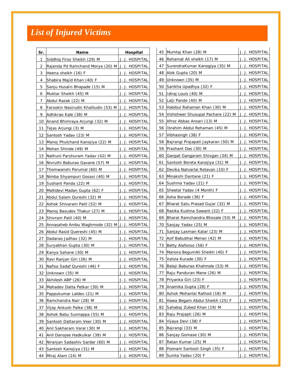## *List of Injured Victims*

| Sr. | <b>Name</b>                                           | Hospital              |    | 45 Mumtaj Khan (28) M                              | J. J. HOSPITAL        |
|-----|-------------------------------------------------------|-----------------------|----|----------------------------------------------------|-----------------------|
| 1   | Siddhig Firoz Sheikh (29) M                           | J. J. HOSPITAL        |    | 46 Rehamat Ali sheikh (17) M                       | J. J. HOSPITAL        |
| 2   | Rajenda Pd Ramchand Morya (20) M J. J. HOSPITAL       |                       | 47 | SurendraKumar Kanogiya (35) M                      | J. J. HOSPITAL        |
| 3   | Heena sheikh (16) F                                   | J. J. HOSPITAL        |    | 48 Alok Gupta (20) M                               | J. J. HOSPITAL        |
| 4   | Shabira Majid Khan (40) F                             | J. J. HOSPITAL        |    | 49 Unknown (35) M                                  | J. J. HOSPITAL        |
| 5   | Sanju Husaln Bhapade (15) M                           | J. J. HOSPITAL        |    | 50 Sarikha Upadhya (32) F                          | J. J. HOSPITAL        |
| 6   | Muktar Sheikh (45) M                                  | J. J. HOSPITAL        | 51 | Idiraj Louis (40) M                                | J. J. HOSPITAL        |
| 7   | Abdul Razak (22) M                                    | J. J. HOSPITAL        | 52 | Lalji Pande (40) M                                 | J. J. HOSPITAL        |
| 8   | Farookin Nasirudin Khaliludin (53) M   J. J. HOSPITAL |                       |    | 53 Habibul Rahaman Khan (30) M                     | J. J. HOSPITAL        |
| 9   | Adhikrao Kale (38) M                                  | J. J. HOSPITAL        | 54 | Vishshwer Shusupal Pachare (22) M   J. J. HOSPITAL |                       |
|     | 10 Anand Bhimraya Arjungi (32) M                      | J. J. HOSPITAL        |    | 55 Afroz Abbas Ansari (13) M                       | J. J. HOSPITAL        |
| 11  | Tejas Arjungi (3) M                                   | J. J. HOSPITAL        | 56 | Ilbrahim Abdul Rehaman (45) M                      | J. J. HOSPITAL        |
| 12  | Santosh Yadav (23) M                                  | J. J. HOSPITAL        | 57 | Vibhasingh (38) F                                  | J. J. HOSPITAL        |
| 13  | Manoj Phulchand Kanojiya (22) M                       | J. J. HOSPITAL        |    | 58 Bajrangi Prajapati Jaykaran (50) M              | J. J. HOSPITAL        |
| 14  | Mohan Shinde (49) M                                   | J. J. HOSPITAL        | 59 | Prashant Das (30) M                                | J. J. HOSPITAL        |
| 15  | Nathuni Parshuram Yadav (42) M                        | J. J. HOSPITAL        |    | 60 Ganpat Gangaram Shivgan (34) M                  | J. J. HOSPITAL        |
| 16  | Nivruthi Baburao Gavane (57) M                        | J. J. HOSPITAL        | 61 | Santosh Bereta Kanojiya (31) M                     | J. J. HOSPITAL        |
| 17  | Thomwanshi Perumal (60) M                             | J. J. HOSPITAL        | 62 | Devika Natvarlal Rotavan (10) F                    | J. J. HOSPITAL        |
| 18  | Nimba Shyampuri Gosavi (40) M                         | J. J. HOSPITAL        | 63 | Minakshi Dantane (21) F                            | J. J. HOSPITAL        |
| 19  | Sushant Panda (22) M                                  | J. J. HOSPITAL        |    | 64 Sushma Yadav (21) F                             | J. J. HOSPITAL        |
| 20  | Maltidevi Madan Gupta (62) F                          | J. J. HOSPITAL        |    | 65 Sheetal Yadav (4 Month) F                       | J. J. HOSPITAL        |
| 21  | Abdul Salam Qureshi (32) M                            | J. J. HOSPITAL        | 66 | Asha Borade (36) F                                 | J. J. HOSPITAL        |
| 22  | Ashok Shivaram Patil (52) M                           | J. J. HOSPITAL        | 67 | Bharat Satu Prasad Gujar (32) M                    | J. J. HOSPITAL        |
| 23  | Manoj Basudev Thakur (27) M                           | J. J. HOSPITAL        | 68 | Rasika Kushna Sawant (22) F                        | J. J. HOSPITAL        |
| 24  | Shivram Patil (40) M                                  | J. J. HOSPITAL        | 69 | Bharat Ramchandra Bhosale (53) M                   | J. J. HOSPITAL        |
| 25  | Annasaheb Ambu Waghmode (32) M J. J. HOSPITAL         |                       |    | 70 Sanjay Yadav (25) M                             | J. J. HOSPITAL        |
| 26  | Abdul Rasid Quereshi (45) M                           | J. J. HOSPITAL        | 71 | Sanjay Laxman Katar (23) M                         | J. J. HOSPITAL        |
| 27  | Dadarao Jadhav (32) M                                 | J. J. HOSPITAL        |    | 72 Asif Babubhai Menan (42) M                      | J. J. HOSPITAL        |
| 28  | Suryabhan Gupta (30) M                                | J. J. HOSPITAL        |    | 73 Betty Alafonso (58) F                           | J. J. HOSPITAL        |
| 29  | Kanya Sahane (30) M                                   | J. J. HOSPITAL        |    | 74 Manora BegumAli Sheikh (40) F                   | J. J. HOSPITAL        |
| 30  | Ravi Ranjan Giri (26) M                               | J. J. HOSPITAL        | 75 | Vatsla Kurade (30) F                               | J. J. HOSPITAL        |
| 31  | Nafisa Sadaf Qureshi (46) F                           | J. J. HOSPITAL        | 76 | Balaji Baburao Khatmole (53) M                     | J. J. HOSPITAL        |
|     | 32 Unknown (35) M                                     | J. J. HOSPITAL        | 77 | Raju Panduran Mane (26) M                          | J. J. HOSPITAL        |
| 33  | Akhilesh ABP (26) M                                   | J. J. HOSPITAL        | 78 | Priyanka Giri (23) F                               | J. J. HOSPITAL        |
| 34  | Mahadev Datta Petkar (30) M                           | J. J. HOSPITAL        | 79 | Anamika Gupta (28) F                               | J. J. HOSPITAL        |
| 35  | Pappukumar Laldev (21) M                              | J. J. HOSPITAL        | 80 | Ashok Mohanlal Rathod (18) M                       | J. J. HOSPITAL        |
| 36  | Ramchandra Nair (28) M                                | J. J. HOSPITAL        | 81 | Hawa Begam Abdul Sheikh (25) F                     | J. J. HOSPITAL        |
| 37  | Vijay Ankush Palke (38) M                             | J. J. HOSPITAL        | 82 | Sahabaj Zubed Khan (19) M                          | J. J. HOSPITAL        |
| 38  | Ashok Babu Sunnappa (55) M                            | J. J. HOSPITAL        | 83 | Raju Prajapti (26) M                               | J. J. HOSPITAL        |
| 39  | Santosh Dattaram Veer (30) M                          | J. J. HOSPITAL        | 84 | Vijaya Devi (38) F                                 | J. J. HOSPITAL        |
| 40  | Anil Sakharam Varal (30) M                            | J. J. HOSPITAL        | 85 | Bajrangi (33) M                                    | J. J. HOSPITAL        |
| 41  | Anil Danojee Hadkulkar (39) M                         | J. J. HOSPITAL        | 86 | Sanjay Gomase (30) M                               | J. J. HOSPITAL        |
| 42  | Niranjan Sadashiv Sardar (60) M                       | <u>J. J. HOSPITAL</u> | 87 | Ratan Kumar (25) M                                 | <u>J. J. HOSPITAL</u> |
| 43  | Santosh Kanojiya (31) M                               | J. J. HOSPITAL        | 88 | Poonam Santosh Singh (35) F                        | J. J. HOSPITAL        |
|     | 44 Miraj Alam (24) M                                  | J. J. HOSPITAL        |    | 89 Sunita Yadav (20) F                             | J. J. HOSPITAL        |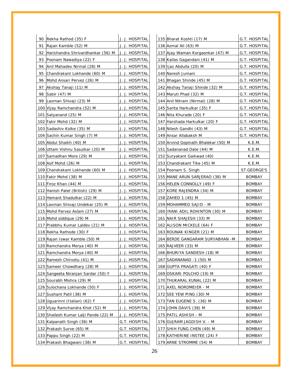|    | 90 Rekha Rathod (35) F                             | J. J. HOSPITAL        |  | 135 Bharat Koshti (17) M            | G.T. HOSPITAL |
|----|----------------------------------------------------|-----------------------|--|-------------------------------------|---------------|
| 91 | Rajan Kamble (52) M                                | J. J. HOSPITAL        |  | 136 Azmal Ali (63) M                | G.T. HOSPITAL |
| 92 | Harichandra Shrivardhankar (56) M   J. J. HOSPITAL |                       |  | 137 Ajay Waman Korgaonkar (47) M    | G.T. HOSPITAL |
|    | 93 Poonam Nawadiya (22) F                          | J. J. HOSPITAL        |  | 138 Kailas Gagandani (41) M         | G.T. HOSPITAL |
| 94 | Anil Mahadev Nirmal (28) M                         | J. J. HOSPITAL        |  | 139 Iljaz Abdulla (20) M            | G.T. HOSPITAL |
| 95 | Chandrakant Lokhande (60) M                        | J. J. HOSPITAL        |  | 140 Naresh Jumani                   | G.T. HOSPITAL |
| 96 | Mohd Ansari Pervez (26) M                          | J. J. HOSPITAL        |  | 141 Bhagan Shinde (45) M            | G.T. HOSPITAL |
| 97 | Akshay Tanaji (11) M                               | J. J. HOSPITAL        |  | 142 Akshay Tanaji Shinde (32) M     | G.T. HOSPITAL |
|    | 98 Sabir (47) M                                    | J. J. HOSPITAL        |  | 143 Maruti Phad (32) M              | G.T. HOSPITAL |
|    | 99 Laxman Shivaji (23) M                           | J. J. HOSPITAL        |  | 144 Anil Nitram (Nirmal) (28) M     | G.T. HOSPITAL |
|    | 100 Vijay Ramchandra (52) M                        | J. J. HOSPITAL        |  | 145 Sarita Harkulkar (35) F         | G.T. HOSPITAL |
|    | 101 Satyanand (25) M                               | J. J. HOSPITAL        |  | 146 Nita Khurade (20) F             | G.T. HOSPITAL |
|    | 102 Fakir Mohd (32) M                              | J. J. HOSPITAL        |  | 147 Harshada Harkulkar (20) F       | G.T. HOSPITAL |
|    | 103 Sadashiv Kolke (35) M                          | J. J. HOSPITAL        |  | 148 Nilesh Gandhi (43) M            | G.T. HOSPITAL |
|    | 104 Sachin Kumar Singh (7) M                       | J. J. HOSPITAL        |  | 149 Ansar Allabaksh M               | G.T. HOSPITAL |
|    | 105 Abdul Shaikh (40) M                            | J. J. HOSPITAL        |  | 150 Arvind Gopinath Bhalekar (50) M | K.E.M.        |
|    | 106 Uttam Vishnu Sasulkar (20) M                   | J. J. HOSPITAL        |  | 151 Sadananad Date (44) M           | K.E.M.        |
|    | 107 Samadhan More (29) M                           | J. J. HOSPITAL        |  | 152 Suryakant Gaikwad (40)          | K.E.M.        |
|    | 108 Asif Mohd (26) M                               | J. J. HOSPITAL        |  | 153 Chandrakant Tike (45) M         | K.E.M.        |
|    | 109 Chandrakant Lokhande (60) M                    | J. J. HOSPITAL        |  | 154 Poonam S. Singh                 | ST.GEORGE'S   |
|    | 110 Fakir Mohd (38) M                              | J. J. HOSPITAL        |  | 155 MANE ARUN SARJERAO (38) M       | BOMBAY        |
|    | 111 Firoz Khan (44) M                              | J. J. HOSPITAL        |  | 156 HELEN CONNOLLY (49) F           | <b>BOMBAY</b> |
|    | 112 Hanish Patel (British) (29) M                  | J. J. HOSPITAL        |  | 157 KORE RAJENDRA (34) M            | <b>BOMBAY</b> |
|    | 113 Hemant Shadulkar (22) M                        | J. J. HOSPITAL        |  | 158 ZAHED 1 (45) M                  | <b>BOMBAY</b> |
|    | 114 Laxman Shivaji Undekar (25) M                  | J. J. HOSPITAL        |  | 159 MOHAMMED SAJID - M              | <b>BOMBAY</b> |
|    | 115 Mohd Parvez Aslam (27) M                       | J. J. HOSPITAL        |  | 160   IRANI ADIL ROHINTON (30) M    | BOMBAY        |
|    | 116 Mohd siddique (29) M                           | J. J. HOSPITAL        |  | 161 NAIR SHAJESH (33) M             | <b>BOMBAY</b> |
|    | 117 Prabbhu Kumar Laldev (21) M                    | J. J. HOSPITAL        |  | 162 ALISON MICKELE (64) F           | <b>BOMBAY</b> |
|    | 118 Rekha Rathode (30) F                           | J. J. HOSPITAL        |  | 163 ROUNAK KINGER (21) M            | <b>BOMBAY</b> |
|    | 119 Rajan Iswar Kamble (50) M                      | J. J. HOSPITAL        |  | 164 BERDE GANGARAM SURYABHAN -M     | <b>BOMBAY</b> |
|    | 120 Ramchandra Morya (40) M                        | J. J. HOSPITAL        |  | 165 RAJVEER (33) M                  | <b>BOMBAY</b> |
|    | 121 Ramchandra Morya (40) M                        | J. J. HOSPITAL        |  | 166 BHURIYA SANDESH (18) M          | <b>BOMBAY</b> |
|    | 122 Ramesh Chirvotu (41) M                         | J. J. HOSPITAL        |  | 167   SADANANAD -1 (50) M           | <b>BOMBAY</b> |
|    | 123 Sameer Chowdhary (28) M                        | J. J. HOSPITAL        |  | 168 GUPTA PRAGATI (40) F            | <b>BOMBAY</b> |
|    | 124 Sangeeta Niranjan Sardar (50) F                | J. J. HOSPITAL        |  | 169 OSKARI POLCHO (19) M            | <b>BOMBAY</b> |
|    | 125 Sourabh Mishra (29) M                          | <u>J. J. HOSPITAL</u> |  | 170 THUKARAL KUNAL (22) M           | <b>BOMBAY</b> |
|    | 126 Sulochana Lokhande (50) F                      | J. J. HOSPITAL        |  | 171 AXEL NORDMEIER - M              | <b>BOMBAY</b> |
|    | 127 Sushant Patil (38) M                           | J. J. HOSPITAL        |  | 172 SEE YEW PING (30) M             | <b>BOMBAY</b> |
|    | 128 Uguarinni (Italian) (62) F                     | J. J. HOSPITAL        |  | 173 TAN EUGENE S. (36) M            | <b>BOMBAY</b> |
|    | 129 Vijay Ramchandra Khot (52) M                   | J. J. HOSPITAL        |  | 174 JOHN DAVIS (38) M               | BOMBAY        |
|    | 130 Shailesh Kumar Lalji Pande (22) M              | <u>J. J. HOSPITAL</u> |  | 175 PATIL ASHISH - M                | <b>BOMBAY</b> |
|    | 131 Kalpanath Singh (36) M                         | G.T. HOSPITAL         |  | 176 GUJRAM JAGDISH V. - M           | <b>BOMBAY</b> |
|    | 132 Prakash Surve (65) M                           | G.T. HOSPITAL         |  | 177 SHIH FUNG CHEN (49) M           | <b>BOMBAY</b> |
|    | 133 Pappu Singh (22) M                             | G.T. HOSPITAL         |  | 178 KATHERINE INSTEE (24) F         | <b>BOMBAY</b> |
|    | 134 Prakash Bhagwani (38) M                        | G.T. HOSPITAL         |  | 179 ARNE STROMME (54) M             | <b>BOMBAY</b> |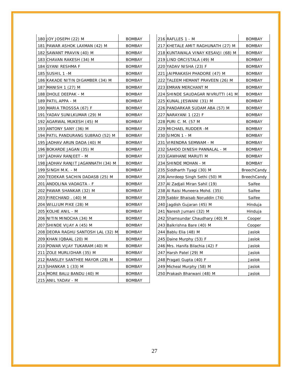| 180 JOY JOSEPH (22) M               | <b>BOMBAY</b> | 216 RAFLLES 1 - M                  |
|-------------------------------------|---------------|------------------------------------|
| 181 PAWAR ASHOK LAXMAN (42) M       | <b>BOMBAY</b> | 217 KHETALE AMIT RAGHUNATH (27) M  |
| 182  SAWANT PRAVIN (40) M           | <b>BOMBAY</b> | 218 KUNTAWALA VINAY KESAVJI (68) M |
| 183 CHAVAN RAKESH (34) M            | <b>BOMBAY</b> | 219 LIND ORCISTALA (49) M          |
| 184  GYANI RESHMA F                 | <b>BOMBAY</b> | 220 YADAV NISHA (23) F             |
| 185 SUSHIL 1 - M                    | <b>BOMBAY</b> | 221 JAIPRAKASH PHADORE (47) M      |
| 186  KAKADE NITIN DIGAMBER (34) M   | <b>BOMBAY</b> | 222 TALEEM HEMANT PRAVEEN (26) M   |
| 187  MANISH 1 (27) M                | <b>BOMBAY</b> | 223 EMRAN MERCHANT M               |
| 188 DHOLE DEEPAK - M                | <b>BOMBAY</b> | 224 SHINDE SAUDAGAR NIVRUTTI (41 M |
| 189   PATIL APPA - M                | <b>BOMBAY</b> | 225 KUNAL JESWANI (31) M           |
| 190 MARIA TROSSSA (67) F            | <b>BOMBAY</b> | 226 PANDARKAR SUDAM ABA (57) M     |
| 191 YADAV SUNILKUMAR (29) M         | <b>BOMBAY</b> | 227  NARAYANI 1 (22) F             |
| 192  AGARWAL MUKESH (45) M          | <b>BOMBAY</b> | 228 PURI C. M. (57 M               |
| 193 ANTONY SANY (36) M              | <b>BOMBAY</b> | 229 MICHAEL RUDDER -M              |
| 194 PATIL PANDURANG SUBRAO (52) M   | <b>BOMBAY</b> | 230 SIMON 1 - M                    |
| 195 JADHAV ARUN DADA (40) M         | <b>BOMBAY</b> | 231 VIRENDRA SEMWAM - M            |
| 196 BOKARDE JAGAN (35) M            | <b>BOMBAY</b> | 232 SAHOO DINESH PANNALAL - M      |
| 197 JADHAV RANJEET - M              | <b>BOMBAY</b> | 233 GAWHANE MARUTI M               |
| 198 JJADHAV RANJIT JAGANNATH (34) M | <b>BOMBAY</b> | 234 SHINDE MOHAN - M               |
| 199 SINGH M.K. - M                  | <b>BOMBAY</b> | 235 Siddharth Tyagi (30) M         |
| 200 TEDEKAR SACHIN DADASB (25) M    | BOMBAY        | 236 Amrdeep Singh Sethi (50) M     |
| 201   ANDOLINA VAOAGTA - F          | <b>BOMBAY</b> | 237 Al Zadjali Miran Sahil (19)    |
| 202 PAWAR SHANKAR (32) M            | <b>BOMBAY</b> | 238 Al Raisi Muneera Mohd. (35)    |
| 203 FIRECHAND . (40) M              | <b>BOMBAY</b> | 239 Sabbir Bhaisab Noruddin (74)   |
| 204 WILLIUM PIKE (28) M             | <b>BOMBAY</b> | 240 Jagdish Gujaran (45) M         |
| 205 KOLHE ANIL - M                  | <b>BOMBAY</b> | 241 Naresh Jumani (32) M           |
| 206 NITIN MINOCHA (34) M            | <b>BOMBAY</b> | 242 Shamsundar Chaudhary (40) M    |
| 207 SHINDE VIJAY A (45) M           | <b>BOMBAY</b> | 243 Balkrishna Bare (40) M         |
| 208 DEORA RAGHU SANTOSH LAL (32) M  | <b>BOMBAY</b> | 244 Bablu Elia (48) M              |
| 209 KHAN IQBAAL (20) M              | <b>BOMBAY</b> | 245 Daine Murphy (53) F            |
| 210 POWAR VIJAY TUKARAM (40) M      | <b>BOMBAY</b> | 246 Mrs. Hanifa Bilachia (42) F    |
| 211 ZOLE MURLIDHAR (35) M           | <b>BOMBAY</b> | 247 Harsh Patel (29) M             |
| 212 RANSLEY SANTHEE MAYOR (28) M    | <b>BOMBAY</b> | 248 Pragati Gupta (40) F           |
| 213 SHANKAR 1 (33) M                | <b>BOMBAY</b> | 249 Micheal Murphy (58) M          |
| 214 MORE BALU BANDU (40) M          | <b>BOMBAY</b> | 250 Prakash Bharwani (48) M        |
| 215 ANIL YADAV - M                  | <b>BOMBAY</b> |                                    |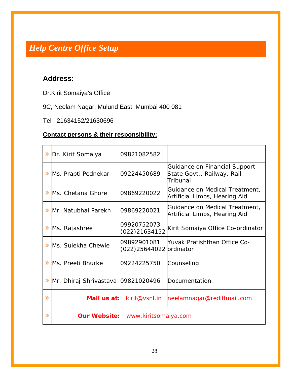## *Help Centre Office Setup*

## **Address:**

Dr.Kirit Somaiya's Office

## 9C, Neelam Nagar, Mulund East, Mumbai 400 081

Tel : 21634152/21630696

### **Contact persons & their responsibility:**

| ≫ | Dr. Kirit Somaiya                  | 09821082582                            |                                                                         |
|---|------------------------------------|----------------------------------------|-------------------------------------------------------------------------|
|   | Ms. Prapti Pednekar                | 09224450689                            | Guidance on Financial Support<br>State Govt., Railway, Rail<br>Tribunal |
|   | Ms. Chetana Ghore                  | 09869220022                            | Guidance on Medical Treatment,<br>Artificial Limbs, Hearing Aid         |
| ≫ | Mr. Natubhai Parekh                | 09869220021                            | Guidance on Medical Treatment,<br>Artificial Limbs, Hearing Aid         |
|   | Ms. Rajashree                      | 09920752073<br>(022)21634152           | Kirit Somaiya Office Co-ordinator                                       |
|   | Ms. Sulekha Chewle                 | 09892901081<br>(022)25644022 ordinator | Yuvak Pratishthan Office Co-                                            |
| ≫ | Ms. Preeti Bhurke                  | 09224225750                            | Counseling                                                              |
|   | Mr. Dhiraj Shrivastava 09821020496 |                                        | Documentation                                                           |
| ≫ |                                    | <i>Mail us at:</i> kirit@vsnl.in       | neelamnagar@rediffmail.com                                              |
| ≫ | <b>Our Website:</b>                | www.kiritsomaiya.com                   |                                                                         |